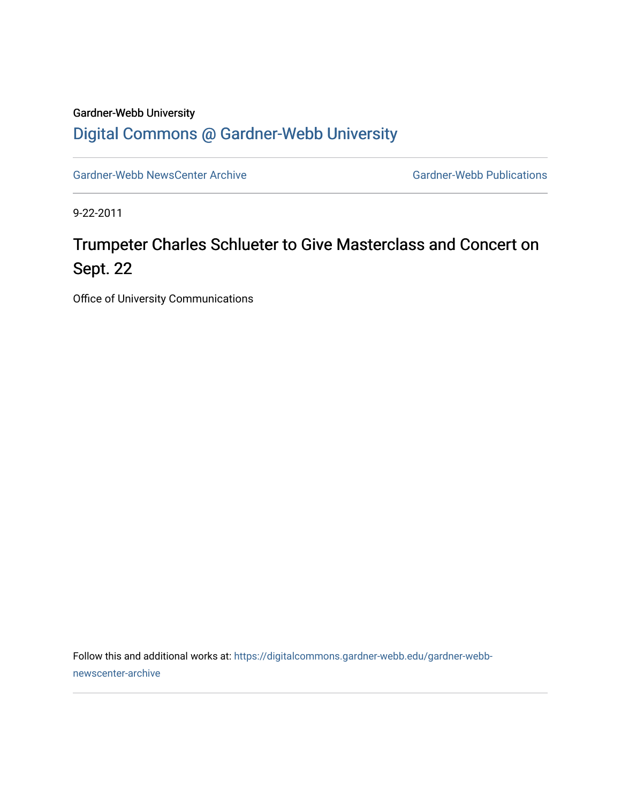## Gardner-Webb University [Digital Commons @ Gardner-Webb University](https://digitalcommons.gardner-webb.edu/)

[Gardner-Webb NewsCenter Archive](https://digitalcommons.gardner-webb.edu/gardner-webb-newscenter-archive) Gardner-Webb Publications

9-22-2011

## Trumpeter Charles Schlueter to Give Masterclass and Concert on Sept. 22

Office of University Communications

Follow this and additional works at: [https://digitalcommons.gardner-webb.edu/gardner-webb](https://digitalcommons.gardner-webb.edu/gardner-webb-newscenter-archive?utm_source=digitalcommons.gardner-webb.edu%2Fgardner-webb-newscenter-archive%2F2030&utm_medium=PDF&utm_campaign=PDFCoverPages)[newscenter-archive](https://digitalcommons.gardner-webb.edu/gardner-webb-newscenter-archive?utm_source=digitalcommons.gardner-webb.edu%2Fgardner-webb-newscenter-archive%2F2030&utm_medium=PDF&utm_campaign=PDFCoverPages)